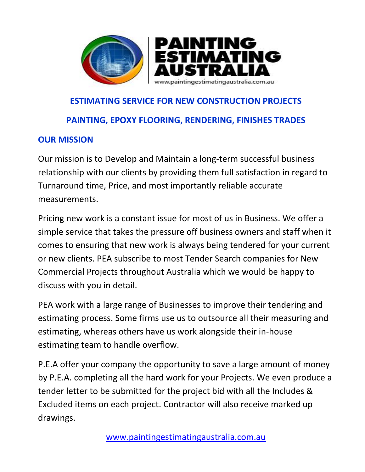

## **ESTIMATING SERVICE FOR NEW CONSTRUCTION PROJECTS PAINTING, EPOXY FLOORING, RENDERING, FINISHES TRADES**

## **OUR MISSION**

Our mission is to Develop and Maintain a long-term successful business relationship with our clients by providing them full satisfaction in regard to Turnaround time, Price, and most importantly reliable accurate measurements.

Pricing new work is a constant issue for most of us in Business. We offer a simple service that takes the pressure off business owners and staff when it comes to ensuring that new work is always being tendered for your current or new clients. PEA subscribe to most Tender Search companies for New Commercial Projects throughout Australia which we would be happy to discuss with you in detail.

PEA work with a large range of Businesses to improve their tendering and estimating process. Some firms use us to outsource all their measuring and estimating, whereas others have us work alongside their in-house estimating team to handle overflow.

P.E.A offer your company the opportunity to save a large amount of money by P.E.A. completing all the hard work for your Projects. We even produce a tender letter to be submitted for the project bid with all the Includes & Excluded items on each project. Contractor will also receive marked up drawings.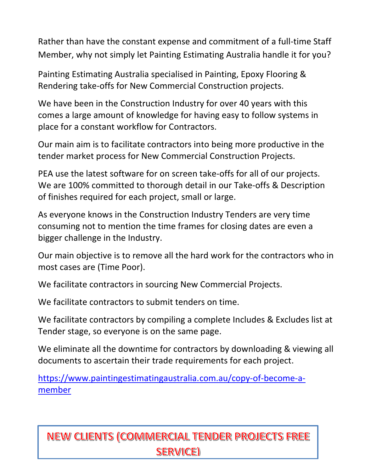Rather than have the constant expense and commitment of a full-time Staff Member, why not simply let Painting Estimating Australia handle it for you?

Painting Estimating Australia specialised in Painting, Epoxy Flooring & Rendering take-offs for New Commercial Construction projects.

We have been in the Construction Industry for over 40 years with this comes a large amount of knowledge for having easy to follow systems in place for a constant workflow for Contractors.

Our main aim is to facilitate contractors into being more productive in the tender market process for New Commercial Construction Projects.

PEA use the latest software for on screen take-offs for all of our projects. We are 100% committed to thorough detail in our Take-offs & Description of finishes required for each project, small or large.

As everyone knows in the Construction Industry Tenders are very time consuming not to mention the time frames for closing dates are even a bigger challenge in the Industry.

Our main objective is to remove all the hard work for the contractors who in most cases are (Time Poor).

We facilitate contractors in sourcing New Commercial Projects.

We facilitate contractors to submit tenders on time.

We facilitate contractors by compiling a complete Includes & Excludes list at Tender stage, so everyone is on the same page.

We eliminate all the downtime for contractors by downloading & viewing all documents to ascertain their trade requirements for each project.

[https://www.paintingestimatingaustralia.com.au/copy-of-become-a](https://www.paintingestimatingaustralia.com.au/copy-of-become-a-member)[member](https://www.paintingestimatingaustralia.com.au/copy-of-become-a-member)

## NEW CLIENTS (COMMERCIAL TENDER PROJECTS FREE **SERVICE)**